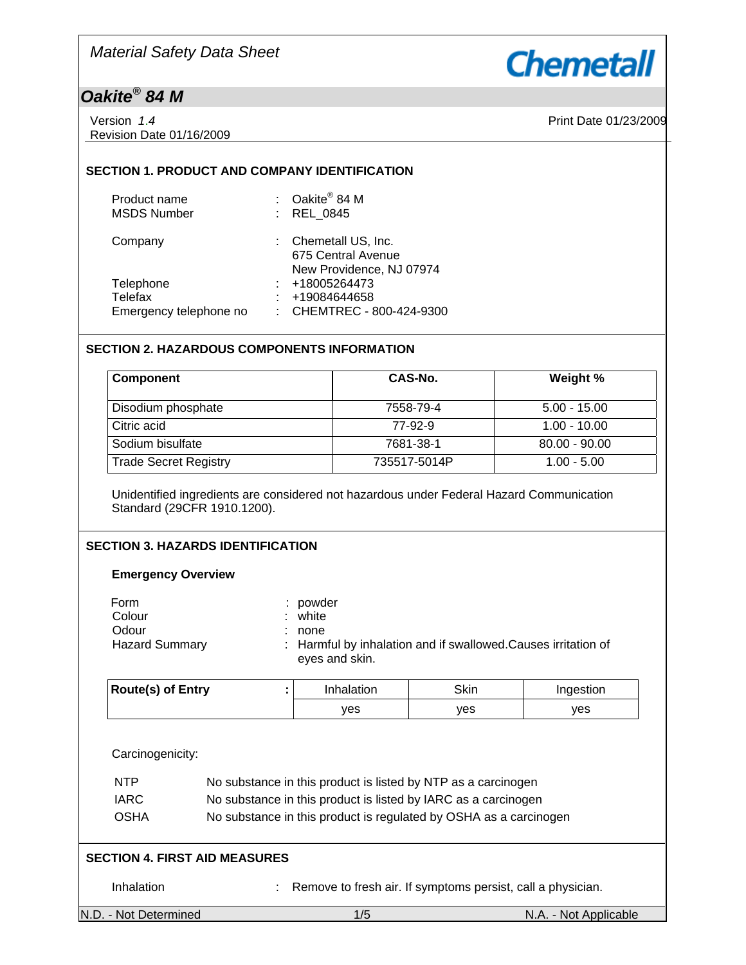

## *Oakite® 84 M*

| Version 1.4 |                          |
|-------------|--------------------------|
|             | Revision Date 01/16/2009 |

Print Date 01/23/2009

## **SECTION 1. PRODUCT AND COMPANY IDENTIFICATION**

| Product name<br><b>MSDS Number</b> | : $Oakite^{\circledR} 84 M$<br>: REL 0845                              |
|------------------------------------|------------------------------------------------------------------------|
| Company                            | : Chemetall US, Inc.<br>675 Central Avenue<br>New Providence, NJ 07974 |
| Telephone<br><b>Telefax</b>        | : 418005264473<br>+19084644658                                         |
| Emergency telephone no             | : CHEMTREC - 800-424-9300                                              |

## **SECTION 2. HAZARDOUS COMPONENTS INFORMATION**

| <b>Component</b>             | CAS-No.      | Weight %        |
|------------------------------|--------------|-----------------|
| Disodium phosphate           | 7558-79-4    | $5.00 - 15.00$  |
| Citric acid                  | 77-92-9      | $1.00 - 10.00$  |
| Sodium bisulfate             | 7681-38-1    | $80.00 - 90.00$ |
| <b>Trade Secret Registry</b> | 735517-5014P | $1.00 - 5.00$   |

Unidentified ingredients are considered not hazardous under Federal Hazard Communication Standard (29CFR 1910.1200).

## **SECTION 3. HAZARDS IDENTIFICATION**

## **Emergency Overview**

| Form                  |    | : powder                                                                         |
|-----------------------|----|----------------------------------------------------------------------------------|
| Colour                |    | : white                                                                          |
| Odour                 | ÷. | none                                                                             |
| <b>Hazard Summary</b> |    | : Harmful by inhalation and if swallowed. Causes irritation of<br>eyes and skin. |

| <b>Route(s) of Entry</b> | Inhalation | Skin | Ingestion |
|--------------------------|------------|------|-----------|
|                          | ves        | ves  | ves       |

Carcinogenicity:

| <b>NTP</b>                  | No substance in this product is listed by NTP as a carcinogen  |
|-----------------------------|----------------------------------------------------------------|
| <b>IARC</b>                 | No substance in this product is listed by IARC as a carcinogen |
| $\sim$ $\sim$ $\sim$ $\sim$ |                                                                |

## OSHA No substance in this product is regulated by OSHA as a carcinogen

## **SECTION 4. FIRST AID MEASURES**

Inhalation : Remove to fresh air. If symptoms persist, call a physician.

N.D. - Not Determined 1/5 N.A. - Not Applicable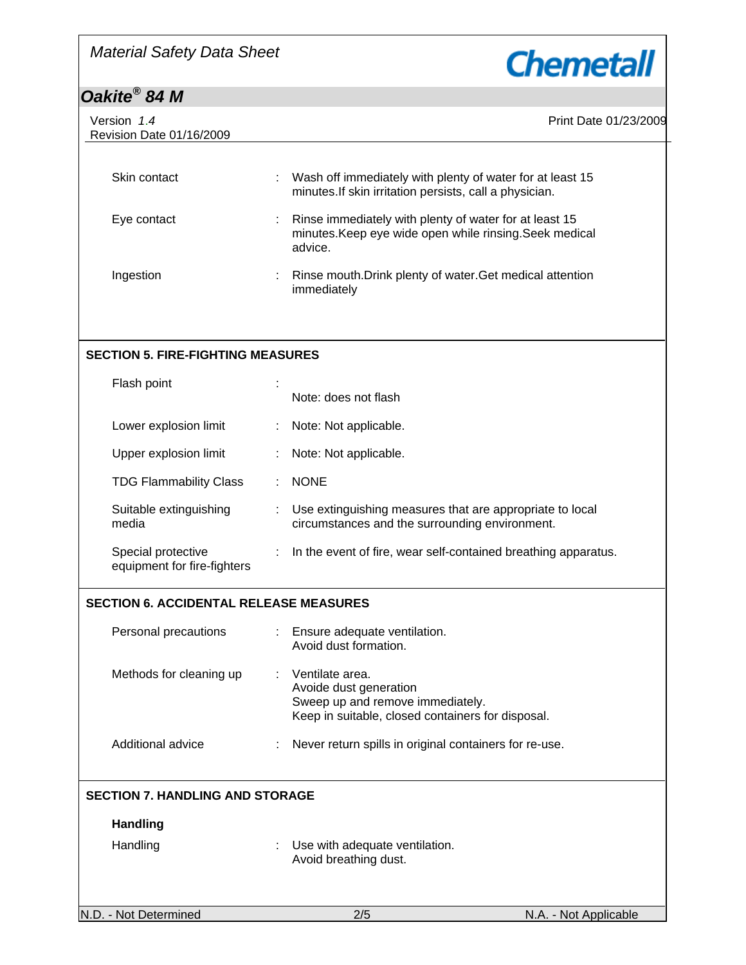

# *Oakite® 84 M*

| Version 1.4<br>Revision Date 01/16/2009           |    | Print Date 01/23/2009                                                                                                              |
|---------------------------------------------------|----|------------------------------------------------------------------------------------------------------------------------------------|
|                                                   |    |                                                                                                                                    |
| Skin contact                                      |    | Wash off immediately with plenty of water for at least 15<br>minutes. If skin irritation persists, call a physician.               |
| Eye contact                                       |    | Rinse immediately with plenty of water for at least 15<br>minutes. Keep eye wide open while rinsing. Seek medical<br>advice.       |
| Ingestion                                         |    | Rinse mouth. Drink plenty of water. Get medical attention<br>immediately                                                           |
|                                                   |    |                                                                                                                                    |
| <b>SECTION 5. FIRE-FIGHTING MEASURES</b>          |    |                                                                                                                                    |
| Flash point                                       |    | Note: does not flash                                                                                                               |
| Lower explosion limit                             |    | Note: Not applicable.                                                                                                              |
| Upper explosion limit                             |    | Note: Not applicable.                                                                                                              |
| <b>TDG Flammability Class</b>                     |    | <b>NONE</b>                                                                                                                        |
| Suitable extinguishing<br>media                   |    | Use extinguishing measures that are appropriate to local<br>circumstances and the surrounding environment.                         |
| Special protective<br>equipment for fire-fighters | ÷. | In the event of fire, wear self-contained breathing apparatus.                                                                     |
| <b>SECTION 6. ACCIDENTAL RELEASE MEASURES</b>     |    |                                                                                                                                    |
| Personal precautions                              |    | Ensure adequate ventilation.<br>Avoid dust formation.                                                                              |
| Methods for cleaning up                           |    | Ventilate area.<br>Avoide dust generation<br>Sweep up and remove immediately.<br>Keep in suitable, closed containers for disposal. |
| Additional advice                                 |    | Never return spills in original containers for re-use.                                                                             |
| <b>SECTION 7. HANDLING AND STORAGE</b>            |    |                                                                                                                                    |
| <b>Handling</b>                                   |    |                                                                                                                                    |
| Handling                                          |    | Use with adequate ventilation.<br>Avoid breathing dust.                                                                            |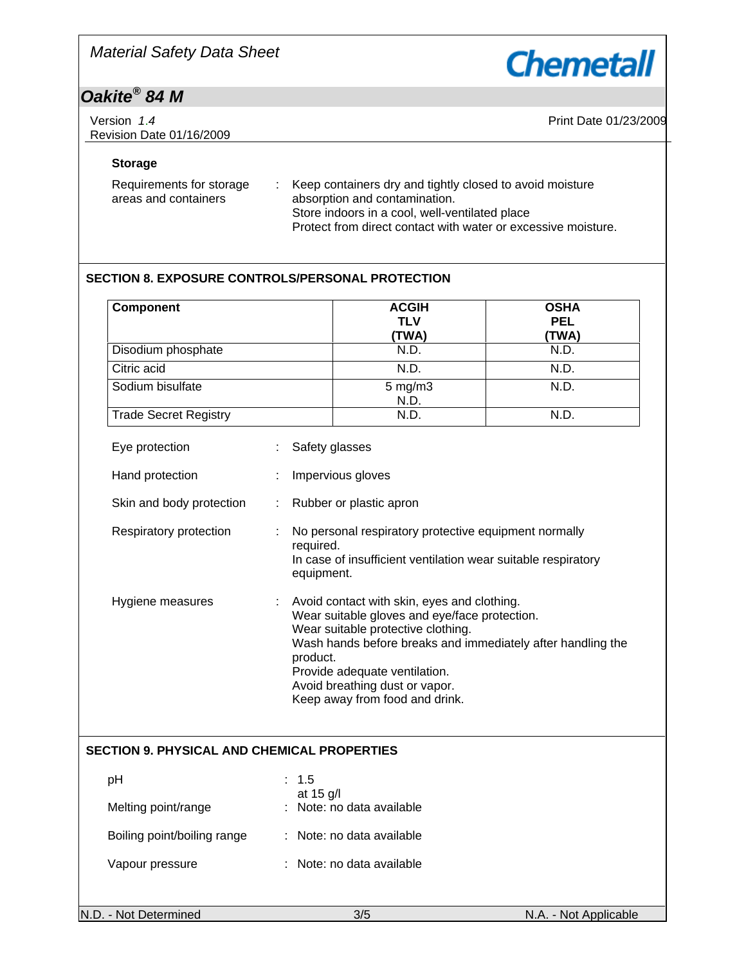

# *Oakite® 84 M*

| Version 1.4<br>Revision Date 01/16/2009 | Print Date 01/23/2009 |
|-----------------------------------------|-----------------------|
|                                         |                       |

## **Storage**

| Requirements for storage | Keep containers dry and tightly closed to avoid moisture      |
|--------------------------|---------------------------------------------------------------|
| areas and containers     | absorption and contamination.                                 |
|                          | Store indoors in a cool, well-ventilated place                |
|                          | Protect from direct contact with water or excessive moisture. |

## **SECTION 8. EXPOSURE CONTROLS/PERSONAL PROTECTION**

| Component                                          |                         | <b>ACGIH</b><br><b>TLV</b><br>(TWA)                                                                                                                                                                                                                                                                    | <b>OSHA</b><br><b>PEL</b><br>(TWA) |
|----------------------------------------------------|-------------------------|--------------------------------------------------------------------------------------------------------------------------------------------------------------------------------------------------------------------------------------------------------------------------------------------------------|------------------------------------|
| Disodium phosphate                                 |                         | N.D.                                                                                                                                                                                                                                                                                                   | N.D.                               |
| Citric acid                                        |                         | N.D.                                                                                                                                                                                                                                                                                                   | N.D.                               |
| Sodium bisulfate                                   |                         | $5$ mg/m $3$<br>N.D.                                                                                                                                                                                                                                                                                   | N.D.                               |
| <b>Trade Secret Registry</b>                       |                         | N.D.                                                                                                                                                                                                                                                                                                   | N.D.                               |
| Eye protection                                     |                         | Safety glasses                                                                                                                                                                                                                                                                                         |                                    |
| Hand protection                                    |                         | Impervious gloves                                                                                                                                                                                                                                                                                      |                                    |
| Skin and body protection                           |                         | Rubber or plastic apron                                                                                                                                                                                                                                                                                |                                    |
| Respiratory protection                             | required.<br>equipment. | No personal respiratory protective equipment normally<br>In case of insufficient ventilation wear suitable respiratory                                                                                                                                                                                 |                                    |
| Hygiene measures                                   | product.                | Avoid contact with skin, eyes and clothing.<br>Wear suitable gloves and eye/face protection.<br>Wear suitable protective clothing.<br>Wash hands before breaks and immediately after handling the<br>Provide adequate ventilation.<br>Avoid breathing dust or vapor.<br>Keep away from food and drink. |                                    |
| <b>SECTION 9. PHYSICAL AND CHEMICAL PROPERTIES</b> |                         |                                                                                                                                                                                                                                                                                                        |                                    |
| pH                                                 | : 1.5<br>at 15 g/l      |                                                                                                                                                                                                                                                                                                        |                                    |
| Melting point/range                                |                         | Note: no data available                                                                                                                                                                                                                                                                                |                                    |
| Boiling point/boiling range                        |                         | : Note: no data available                                                                                                                                                                                                                                                                              |                                    |
| Vapour pressure                                    |                         | : Note: no data available                                                                                                                                                                                                                                                                              |                                    |
| N.D. - Not Determined                              |                         | 3/5                                                                                                                                                                                                                                                                                                    | N.A. - Not Applicable              |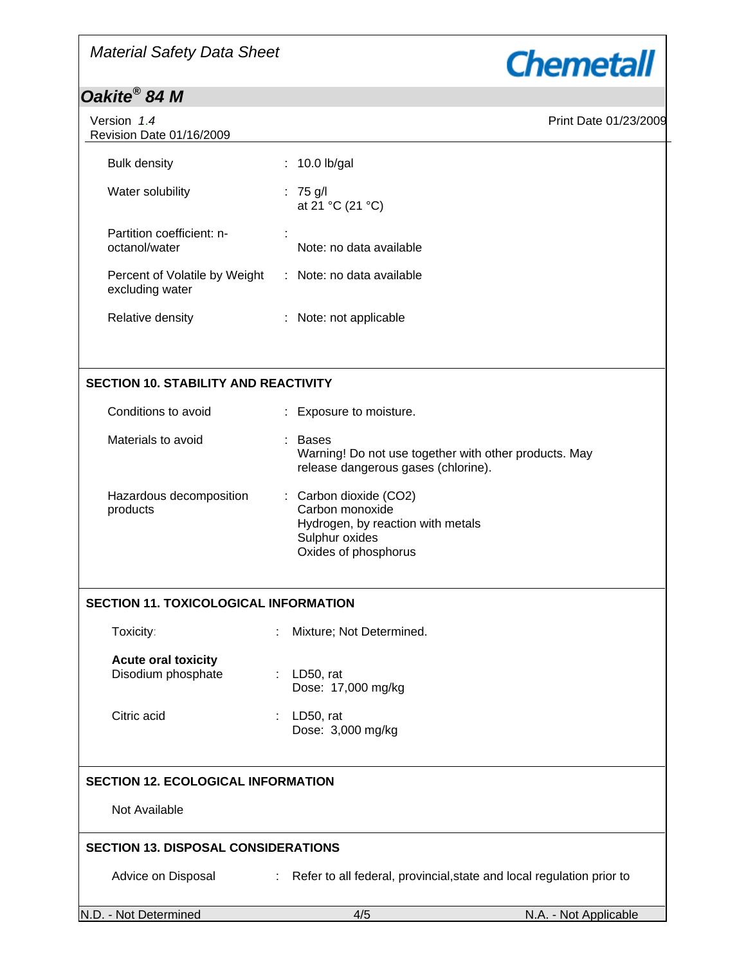## *Material Safety Data Sheet*





| Version 1.4<br>Revision Date 01/16/2009          |                              | Print Date 01/23/2009 |
|--------------------------------------------------|------------------------------|-----------------------|
| <b>Bulk density</b>                              | $: 10.0$ lb/gal              |                       |
| Water solubility                                 | : 75 g/l<br>at 21 °C (21 °C) |                       |
| Partition coefficient: n-<br>octanol/water       | Note: no data available      |                       |
| Percent of Volatile by Weight<br>excluding water | : Note: no data available    |                       |
| Relative density                                 | : Note: not applicable       |                       |
|                                                  |                              |                       |
| <b>SECTION 10. STABILITY AND REACTIVITY</b>      |                              |                       |

| Conditions to avoid                 | : Exposure to moisture.                                                                                                  |
|-------------------------------------|--------------------------------------------------------------------------------------------------------------------------|
| Materials to avoid                  | : Bases<br>Warning! Do not use together with other products. May<br>release dangerous gases (chlorine).                  |
| Hazardous decomposition<br>products | : Carbon dioxide (CO2)<br>Carbon monoxide<br>Hydrogen, by reaction with metals<br>Sulphur oxides<br>Oxides of phosphorus |

## **SECTION 11. TOXICOLOGICAL INFORMATION**

| Toxicity:                                        | : Mixture; Not Determined.        |
|--------------------------------------------------|-----------------------------------|
| <b>Acute oral toxicity</b><br>Disodium phosphate | : LD50, rat<br>Dose: 17,000 mg/kg |
| Citric acid                                      | LD50, rat                         |

## **SECTION 12. ECOLOGICAL INFORMATION**

Not Available

## **SECTION 13. DISPOSAL CONSIDERATIONS**

Advice on Disposal : Refer to all federal, provincial, state and local regulation prior to

Dose: 3,000 mg/kg